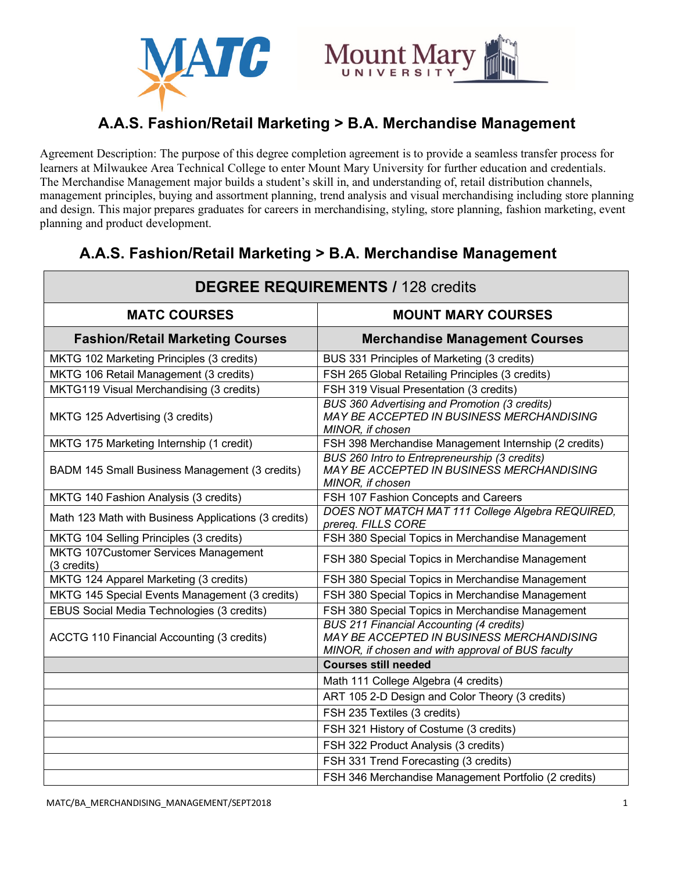



# **A.A.S. Fashion/Retail Marketing > B.A. Merchandise Management**

Agreement Description: The purpose of this degree completion agreement is to provide a seamless transfer process for learners at Milwaukee Area Technical College to enter Mount Mary University for further education and credentials. The Merchandise Management major builds a student's skill in, and understanding of, retail distribution channels, management principles, buying and assortment planning, trend analysis and visual merchandising including store planning and design. This major prepares graduates for careers in merchandising, styling, store planning, fashion marketing, event planning and product development.

#### **DEGREE REQUIREMENTS /** 128 credits **MATC COURSES MOUNT MARY COURSES Fashion/Retail Marketing Courses Merchandise Management Courses** MKTG 102 Marketing Principles (3 credits) BUS 331 Principles of Marketing (3 credits) MKTG 106 Retail Management (3 credits) FSH 265 Global Retailing Principles (3 credits) MKTG119 Visual Merchandising (3 credits) FSH 319 Visual Presentation (3 credits) MKTG 125 Advertising (3 credits) *BUS 360 Advertising and Promotion (3 credits) MAY BE ACCEPTED IN BUSINESS MERCHANDISING MINOR, if chosen* MKTG 175 Marketing Internship (1 credit) FSH 398 Merchandise Management Internship (2 credits) BADM 145 Small Business Management (3 credits) *BUS 260 Intro to Entrepreneurship (3 credits) MAY BE ACCEPTED IN BUSINESS MERCHANDISING MINOR, if chosen*  MKTG 140 Fashion Analysis (3 credits) FSH 107 Fashion Concepts and Careers Math 123 Math with Business Applications (3 credits) **DOES NOT MATCH MAT 111 College Algebra REQUIRED**, *prereq. FILLS CORE* MKTG 104 Selling Principles (3 credits) **FSH 380 Special Topics in Merchandise Management** MKTG 107Customer Services Management MRTG TO/Customer Services Management<br>(3 credits) FSH 380 Special Topics in Merchandise Management MKTG 124 Apparel Marketing (3 credits) FSH 380 Special Topics in Merchandise Management MKTG 145 Special Events Management (3 credits) FSH 380 Special Topics in Merchandise Management EBUS Social Media Technologies (3 credits) FSH 380 Special Topics in Merchandise Management ACCTG 110 Financial Accounting (3 credits) *BUS 211 Financial Accounting (4 credits) MAY BE ACCEPTED IN BUSINESS MERCHANDISING MINOR, if chosen and with approval of BUS faculty* **Courses still needed** Math 111 College Algebra (4 credits) ART 105 2-D Design and Color Theory (3 credits) FSH 235 Textiles (3 credits) FSH 321 History of Costume (3 credits) FSH 322 Product Analysis (3 credits) FSH 331 Trend Forecasting (3 credits) FSH 346 Merchandise Management Portfolio (2 credits)

## **A.A.S. Fashion/Retail Marketing > B.A. Merchandise Management**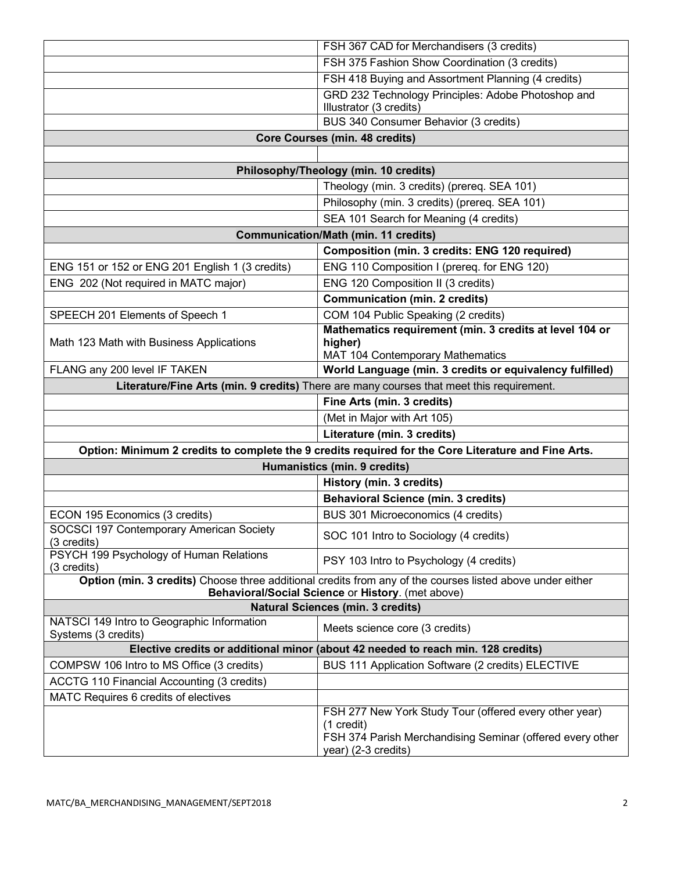|                                                                                                                                                                | FSH 367 CAD for Merchandisers (3 credits)                                                                                                                |
|----------------------------------------------------------------------------------------------------------------------------------------------------------------|----------------------------------------------------------------------------------------------------------------------------------------------------------|
|                                                                                                                                                                | FSH 375 Fashion Show Coordination (3 credits)                                                                                                            |
|                                                                                                                                                                | FSH 418 Buying and Assortment Planning (4 credits)                                                                                                       |
|                                                                                                                                                                | GRD 232 Technology Principles: Adobe Photoshop and<br>Illustrator (3 credits)                                                                            |
|                                                                                                                                                                | BUS 340 Consumer Behavior (3 credits)                                                                                                                    |
| <b>Core Courses (min. 48 credits)</b>                                                                                                                          |                                                                                                                                                          |
|                                                                                                                                                                |                                                                                                                                                          |
| Philosophy/Theology (min. 10 credits)                                                                                                                          |                                                                                                                                                          |
|                                                                                                                                                                | Theology (min. 3 credits) (prereq. SEA 101)                                                                                                              |
|                                                                                                                                                                | Philosophy (min. 3 credits) (prereq. SEA 101)                                                                                                            |
|                                                                                                                                                                | SEA 101 Search for Meaning (4 credits)                                                                                                                   |
| <b>Communication/Math (min. 11 credits)</b>                                                                                                                    |                                                                                                                                                          |
|                                                                                                                                                                | <b>Composition (min. 3 credits: ENG 120 required)</b>                                                                                                    |
| ENG 151 or 152 or ENG 201 English 1 (3 credits)                                                                                                                | ENG 110 Composition I (prereq. for ENG 120)                                                                                                              |
| ENG 202 (Not required in MATC major)                                                                                                                           | ENG 120 Composition II (3 credits)                                                                                                                       |
|                                                                                                                                                                | <b>Communication (min. 2 credits)</b>                                                                                                                    |
| SPEECH 201 Elements of Speech 1                                                                                                                                | COM 104 Public Speaking (2 credits)                                                                                                                      |
|                                                                                                                                                                | Mathematics requirement (min. 3 credits at level 104 or                                                                                                  |
| Math 123 Math with Business Applications                                                                                                                       | higher)                                                                                                                                                  |
|                                                                                                                                                                | MAT 104 Contemporary Mathematics                                                                                                                         |
| FLANG any 200 level IF TAKEN                                                                                                                                   | World Language (min. 3 credits or equivalency fulfilled)                                                                                                 |
| Literature/Fine Arts (min. 9 credits) There are many courses that meet this requirement.                                                                       |                                                                                                                                                          |
|                                                                                                                                                                | Fine Arts (min. 3 credits)                                                                                                                               |
|                                                                                                                                                                | (Met in Major with Art 105)                                                                                                                              |
|                                                                                                                                                                | Literature (min. 3 credits)                                                                                                                              |
| Option: Minimum 2 credits to complete the 9 credits required for the Core Literature and Fine Arts.                                                            |                                                                                                                                                          |
| Humanistics (min. 9 credits)                                                                                                                                   |                                                                                                                                                          |
|                                                                                                                                                                | History (min. 3 credits)                                                                                                                                 |
|                                                                                                                                                                | <b>Behavioral Science (min. 3 credits)</b>                                                                                                               |
| ECON 195 Economics (3 credits)<br>SOCSCI 197 Contemporary American Society                                                                                     | BUS 301 Microeconomics (4 credits)                                                                                                                       |
| (3 credits)                                                                                                                                                    | SOC 101 Intro to Sociology (4 credits)                                                                                                                   |
| PSYCH 199 Psychology of Human Relations<br>(3 credits)                                                                                                         | PSY 103 Intro to Psychology (4 credits)                                                                                                                  |
| Option (min. 3 credits) Choose three additional credits from any of the courses listed above under either<br>Behavioral/Social Science or History. (met above) |                                                                                                                                                          |
| <b>Natural Sciences (min. 3 credits)</b>                                                                                                                       |                                                                                                                                                          |
| NATSCI 149 Intro to Geographic Information                                                                                                                     |                                                                                                                                                          |
| Systems (3 credits)                                                                                                                                            | Meets science core (3 credits)                                                                                                                           |
| Elective credits or additional minor (about 42 needed to reach min. 128 credits)                                                                               |                                                                                                                                                          |
| COMPSW 106 Intro to MS Office (3 credits)                                                                                                                      | BUS 111 Application Software (2 credits) ELECTIVE                                                                                                        |
| ACCTG 110 Financial Accounting (3 credits)                                                                                                                     |                                                                                                                                                          |
| MATC Requires 6 credits of electives                                                                                                                           |                                                                                                                                                          |
|                                                                                                                                                                | FSH 277 New York Study Tour (offered every other year)<br>(1 credit)<br>FSH 374 Parish Merchandising Seminar (offered every other<br>year) (2-3 credits) |